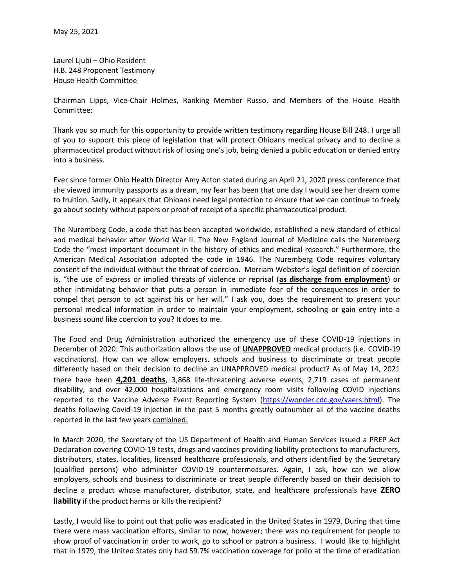Laurel Ljubi – Ohio Resident H.B. 248 Proponent Testimony House Health Committee

Chairman Lipps, Vice-Chair Holmes, Ranking Member Russo, and Members of the House Health Committee:

Thank you so much for this opportunity to provide written testimony regarding House Bill 248. I urge all of you to support this piece of legislation that will protect Ohioans medical privacy and to decline a pharmaceutical product without risk of losing one's job, being denied a public education or denied entry into a business.

Ever since former Ohio Health Director Amy Acton stated during an April 21, 2020 press conference that she viewed immunity passports as a dream, my fear has been that one day I would see her dream come to fruition. Sadly, it appears that Ohioans need legal protection to ensure that we can continue to freely go about society without papers or proof of receipt of a specific pharmaceutical product.

The Nuremberg Code, a code that has been accepted worldwide, established a new standard of ethical and medical behavior after World War II. The New England Journal of Medicine calls the Nuremberg Code the "most important document in the history of ethics and medical research." Furthermore, the American Medical Association adopted the code in 1946. The Nuremberg Code requires voluntary consent of the individual without the threat of coercion. Merriam Webster's legal definition of coercion is, "the use of express or implied threats of violence or reprisal (as discharge from employment) or other intimidating behavior that puts a person in immediate fear of the consequences in order to compel that person to act against his or her will." I ask you, does the requirement to present your personal medical information in order to maintain your employment, schooling or gain entry into a business sound like coercion to you? It does to me.

The Food and Drug Administration authorized the emergency use of these COVID-19 injections in December of 2020. This authorization allows the use of **UNAPPROVED** medical products (i.e. COVID-19 vaccinations). How can we allow employers, schools and business to discriminate or treat people differently based on their decision to decline an UNAPPROVED medical product? As of May 14, 2021 there have been 4,201 deaths, 3,868 life-threatening adverse events, 2,719 cases of permanent disability, and over 42,000 hospitalizations and emergency room visits following COVID injections reported to the Vaccine Adverse Event Reporting System (https://wonder.cdc.gov/vaers.html). The deaths following Covid-19 injection in the past 5 months greatly outnumber all of the vaccine deaths reported in the last few years combined.

In March 2020, the Secretary of the US Department of Health and Human Services issued a PREP Act Declaration covering COVID-19 tests, drugs and vaccines providing liability protections to manufacturers, distributors, states, localities, licensed healthcare professionals, and others identified by the Secretary (qualified persons) who administer COVID-19 countermeasures. Again, I ask, how can we allow employers, schools and business to discriminate or treat people differently based on their decision to decline a product whose manufacturer, distributor, state, and healthcare professionals have ZERO liability if the product harms or kills the recipient?

Lastly, I would like to point out that polio was eradicated in the United States in 1979. During that time there were mass vaccination efforts, similar to now, however; there was no requirement for people to show proof of vaccination in order to work, go to school or patron a business. I would like to highlight that in 1979, the United States only had 59.7% vaccination coverage for polio at the time of eradication